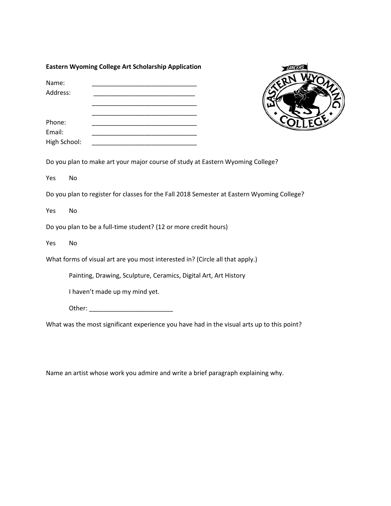## **Eastern Wyoming College Art Scholarship Application**

| Name:        |  |  |
|--------------|--|--|
| Address:     |  |  |
|              |  |  |
| Phone:       |  |  |
| Email:       |  |  |
| High School: |  |  |



Do you plan to make art your major course of study at Eastern Wyoming College?

Yes No

Do you plan to register for classes for the Fall 2018 Semester at Eastern Wyoming College?

Yes No

Do you plan to be a full-time student? (12 or more credit hours)

Yes No

What forms of visual art are you most interested in? (Circle all that apply.)

Painting, Drawing, Sculpture, Ceramics, Digital Art, Art History

I haven't made up my mind yet.

Other: \_\_\_\_\_\_\_\_\_\_\_\_\_\_\_\_\_\_\_\_\_\_\_\_

What was the most significant experience you have had in the visual arts up to this point?

Name an artist whose work you admire and write a brief paragraph explaining why.